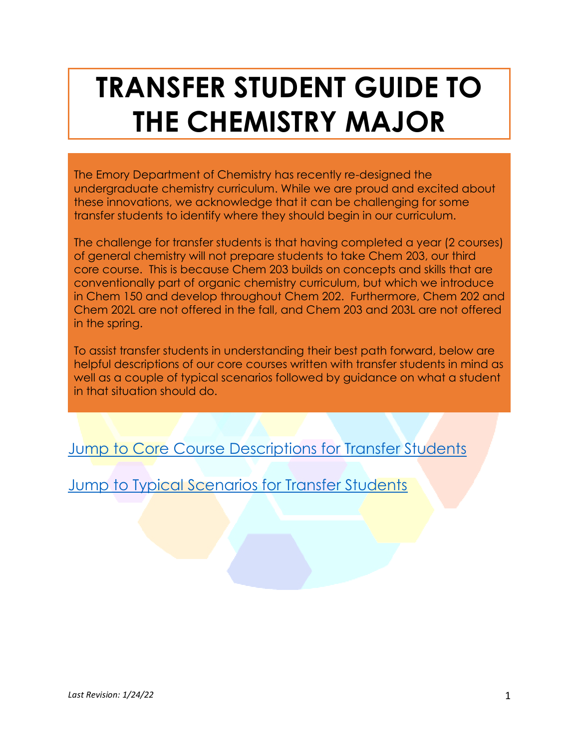# **TRANSFER STUDENT GUIDE TO THE CHEMISTRY MAJOR**

The Emory Department of Chemistry has recently re-designed the undergraduate chemistry curriculum. While we are proud and excited about these innovations, we acknowledge that it can be challenging for some transfer students to identify where they should begin in our curriculum.

The challenge for transfer students is that having completed a year (2 courses) of general chemistry will not prepare students to take Chem 203, our third core course. This is because Chem 203 builds on concepts and skills that are conventionally part of organic chemistry curriculum, but which we introduce in Chem 150 and develop throughout Chem 202. Furthermore, Chem 202 and Chem 202L are not offered in the fall, and Chem 203 and 203L are not offered in the spring.

To assist transfer students in understanding their best path forward, below are helpful descriptions of our core courses written with transfer students in mind as well as a couple of typical scenarios followed by guidance on what a student in that situation should do.

[Jump to Core Course Descriptions for Transfer Students](#page-1-0)

[Jump to Typical Scenarios for Transfer Students](#page-2-0)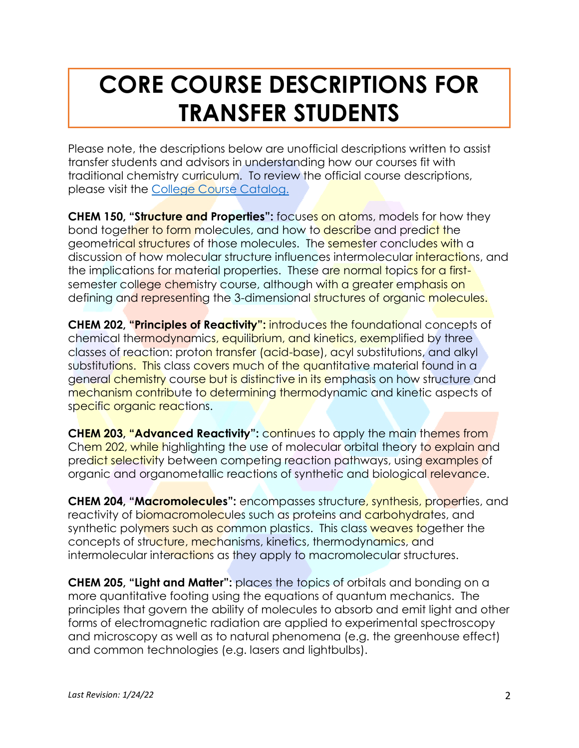## <span id="page-1-0"></span>**CORE COURSE DESCRIPTIONS FOR TRANSFER STUDENTS**

Please note, the descriptions below are unofficial descriptions written to assist transfer students and advisors in understanding how our courses fit with traditional chemistry curriculum. To review the official course descriptions, please visit the [College Course Catalog.](http://catalog.college.emory.edu/)

**CHEM 150, "Structure and Properties":** focuses on atoms, models for how they bond together to form molecules, and how to describe and predict the geometrical structures of those molecules. The semester concludes with a discussion of how molecular structure influences intermolecular interactions, and the implications for material properties. These are normal topics for a firstsemester college chemistry course, although with a greater emphasis on defining and representing the 3-dimensional structures of organic molecules.

**CHEM 202, "Principles of Reactivity":** introduces the foundational concepts of chemical thermodynamics, equilibrium, and kinetics, exemplified by three classes of reaction: proton transfer (acid-base), acyl substitutions, and alkyl substitutions. This class covers much of the quantitative material found in a general chemistry course but is distinctive in its emphasis on how structure and mechanism contribute to determining thermodynamic and kinetic aspects of specific organic reactions.

**CHEM 203, "Advanced Reactivity":** continues to apply the main themes from Chem 202, while highlighting the use of molecular orbital theory to explain and predict selectivity between competing reaction pathways, using examples of organic and organometallic reactions of synthetic and biological relevance.

**CHEM 204, "Macromolecules":** encompasses structure, synthesis, properties, and reactivity of biomacromolecules such as proteins and carbohydrates, and synthetic polymers such as common plastics. This class weaves together the concepts of structure, mechanisms, kinetics, thermodynamics, and intermolecular interactions as they apply to macromolecular structures.

**CHEM 205, "Light and Matter":** places the topics of orbitals and bonding on a more quantitative footing using the equations of quantum mechanics. The principles that govern the ability of molecules to absorb and emit light and other forms of electromagnetic radiation are applied to experimental spectroscopy and microscopy as well as to natural phenomena (e.g. the greenhouse effect) and common technologies (e.g. lasers and lightbulbs).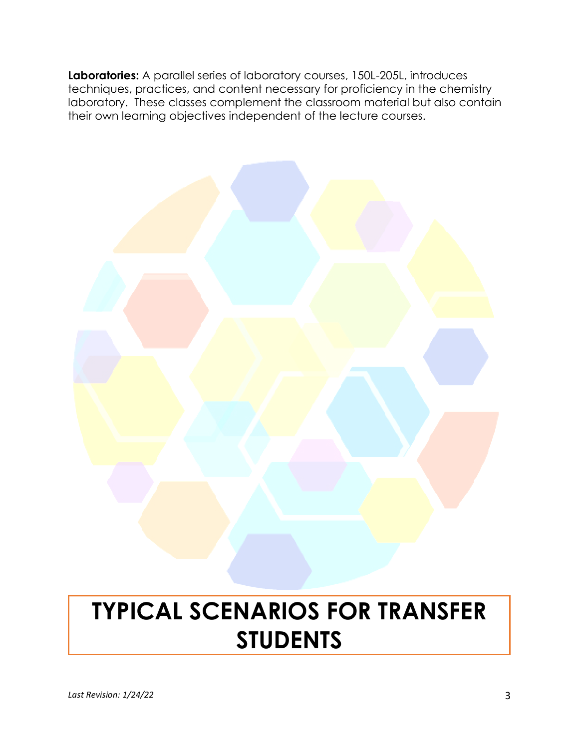**Laboratories:** A parallel series of laboratory courses, 150L-205L, introduces techniques, practices, and content necessary for proficiency in the chemistry laboratory. These classes complement the classroom material but also contain their own learning objectives independent of the lecture courses.



## <span id="page-2-0"></span>**TYPICAL SCENARIOS FOR TRANSFER STUDENTS**